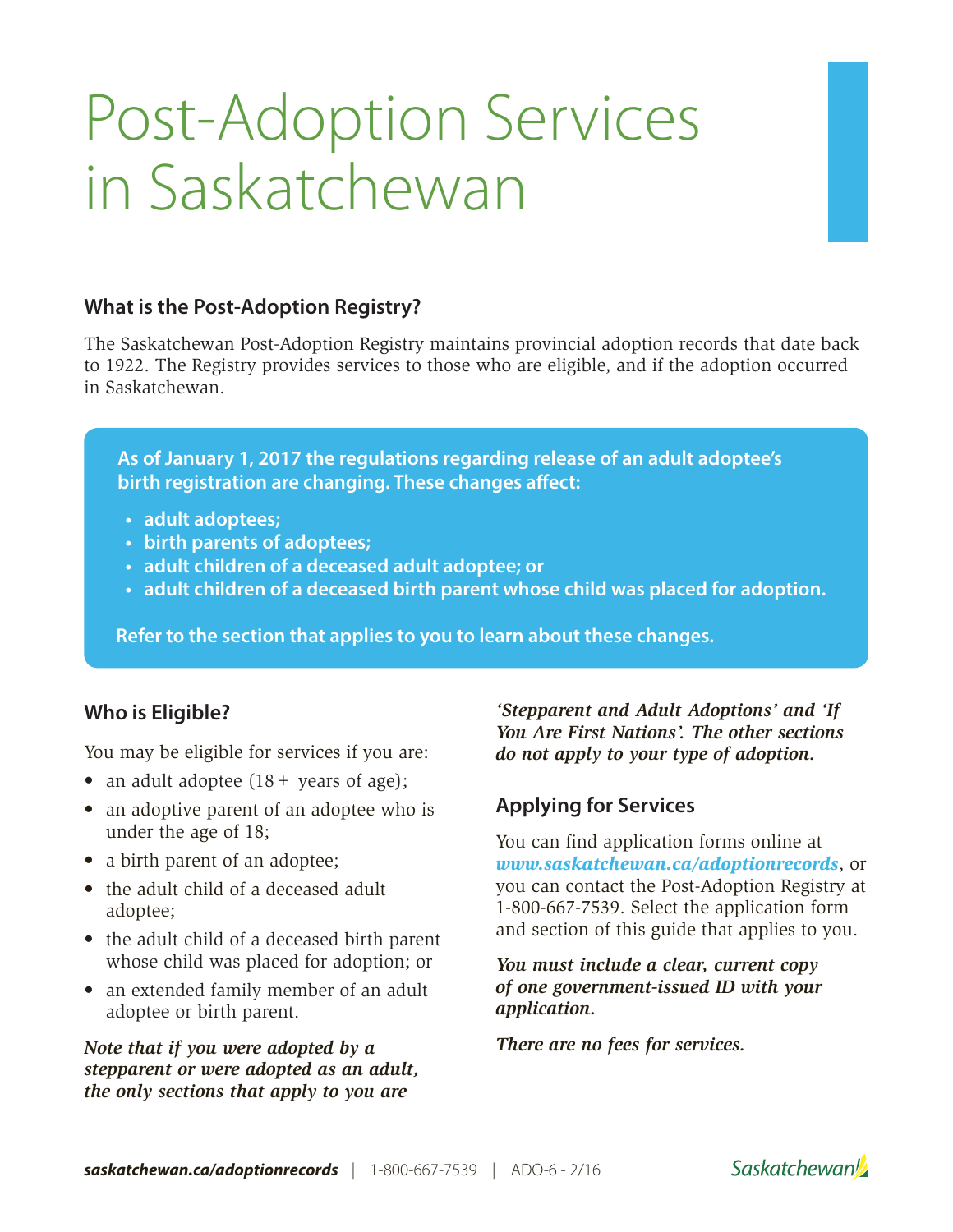# Post-Adoption Services in Saskatchewan

# **What is the Post-Adoption Registry?**

The Saskatchewan Post-Adoption Registry maintains provincial adoption records that date back to 1922. The Registry provides services to those who are eligible, and if the adoption occurred in Saskatchewan.

**As of January 1, 2017 the regulations regarding release of an adult adoptee's birth registration are changing. These changes affect:**

- **• adult adoptees;**
- **• birth parents of adoptees;**
- **• adult children of a deceased adult adoptee; or**
- **• adult children of a deceased birth parent whose child was placed for adoption.**

**Refer to the section that applies to you to learn about these changes.**

# **Who is Eligible?**

You may be eligible for services if you are:

- an adult adoptee  $(18 + \text{ years of age});$
- an adoptive parent of an adoptee who is under the age of 18;
- a birth parent of an adoptee;
- the adult child of a deceased adult adoptee;
- the adult child of a deceased birth parent whose child was placed for adoption; or
- an extended family member of an adult adoptee or birth parent.

*Note that if you were adopted by a stepparent or were adopted as an adult, the only sections that apply to you are* 

*'Stepparent and Adult Adoptions' and 'If You Are First Nations'. The other sections do not apply to your type of adoption.*

# **Applying for Services**

You can find application forms online at *www.saskatchewan.ca/adoptionrecords*, or you can contact the Post-Adoption Registry at 1-800-667-7539. Select the application form and section of this guide that applies to you.

*You must include a clear, current copy of one government-issued ID with your application.*

*There are no fees for services.*

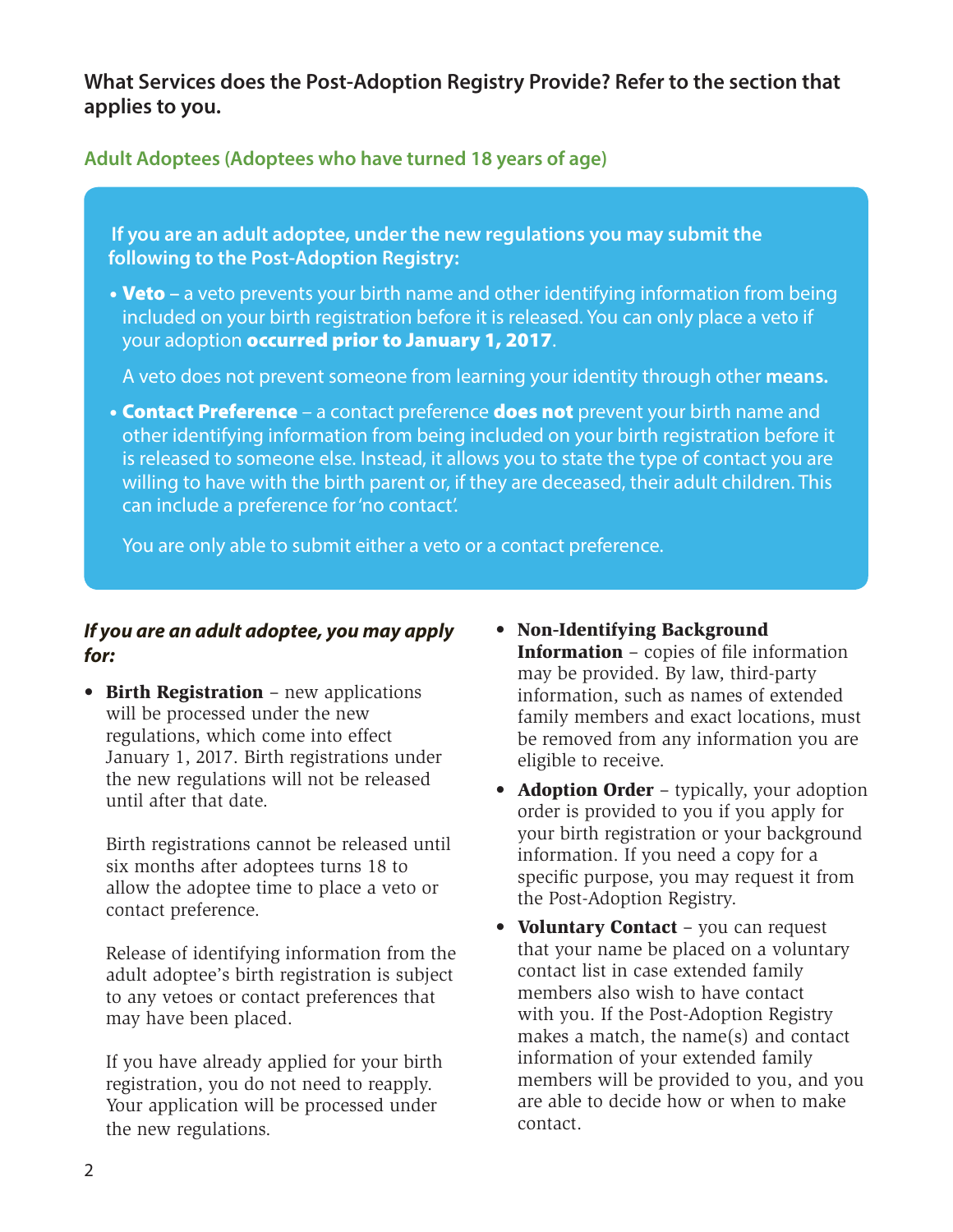**What Services does the Post-Adoption Registry Provide? Refer to the section that applies to you.**

**Adult Adoptees (Adoptees who have turned 18 years of age)**

**If you are an adult adoptee, under the new regulations you may submit the following to the Post-Adoption Registry:**

• **Veto** – a veto prevents your birth name and other identifying information from being included on your birth registration before it is released. You can only place a veto if your adoption **occurred prior to January 1, 2017**.

A veto does not prevent someone from learning your identity through other **means.**

• **Contact Preference** – a contact preference **does not** prevent your birth name and other identifying information from being included on your birth registration before it is released to someone else. Instead, it allows you to state the type of contact you are willing to have with the birth parent or, if they are deceased, their adult children. This can include a preference for 'no contact'.

You are only able to submit either a veto or a contact preference.

#### *If you are an adult adoptee, you may apply for:*

• Birth Registration - new applications will be processed under the new regulations, which come into effect January 1, 2017. Birth registrations under the new regulations will not be released until after that date.

Birth registrations cannot be released until six months after adoptees turns 18 to allow the adoptee time to place a veto or contact preference.

Release of identifying information from the adult adoptee's birth registration is subject to any vetoes or contact preferences that may have been placed.

If you have already applied for your birth registration, you do not need to reapply. Your application will be processed under the new regulations.

- Non-Identifying Background Information – copies of file information may be provided. By law, third-party information, such as names of extended family members and exact locations, must be removed from any information you are eligible to receive.
- **Adoption Order** typically, your adoption order is provided to you if you apply for your birth registration or your background information. If you need a copy for a specific purpose, you may request it from the Post-Adoption Registry.
- Voluntary Contact you can request that your name be placed on a voluntary contact list in case extended family members also wish to have contact with you. If the Post-Adoption Registry makes a match, the name(s) and contact information of your extended family members will be provided to you, and you are able to decide how or when to make contact.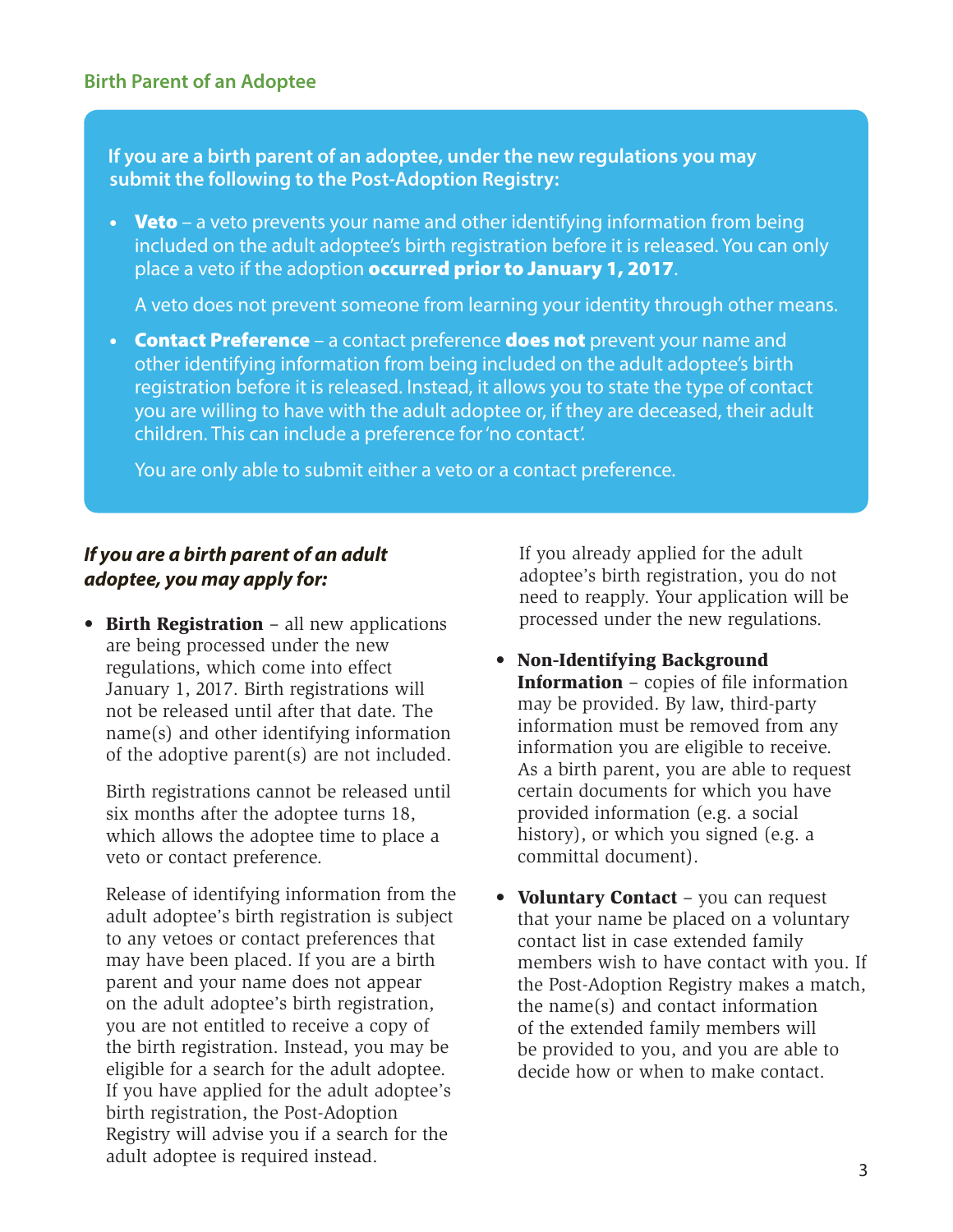**If you are a birth parent of an adoptee, under the new regulations you may submit the following to the Post-Adoption Registry:**

• Veto – a veto prevents your name and other identifying information from being included on the adult adoptee's birth registration before it is released. You can only place a veto if the adoption occurred prior to January 1, 2017.

A veto does not prevent someone from learning your identity through other means.

• Contact Preference – a contact preference does not prevent your name and other identifying information from being included on the adult adoptee's birth registration before it is released. Instead, it allows you to state the type of contact you are willing to have with the adult adoptee or, if they are deceased, their adult children. This can include a preference for 'no contact'.

You are only able to submit either a veto or a contact preference.

# *If you are a birth parent of an adult adoptee, you may apply for:*

• Birth Registration – all new applications are being processed under the new regulations, which come into effect January 1, 2017. Birth registrations will not be released until after that date. The name(s) and other identifying information of the adoptive parent(s) are not included.

Birth registrations cannot be released until six months after the adoptee turns 18, which allows the adoptee time to place a veto or contact preference.

de la completa de la completa de la completa de la completa de la completa de la completa de la completa de la Release of identifying information from the adult adoptee's birth registration is subject to any vetoes or contact preferences that may have been placed. If you are a birth parent and your name does not appear on the adult adoptee's birth registration, you are not entitled to receive a copy of the birth registration. Instead, you may be eligible for a search for the adult adoptee. If you have applied for the adult adoptee's birth registration, the Post-Adoption Registry will advise you if a search for the adult adoptee is required instead.

If you already applied for the adult adoptee's birth registration, you do not need to reapply. Your application will be processed under the new regulations.

- Non-Identifying Background Information – copies of file information may be provided. By law, third-party information must be removed from any information you are eligible to receive. As a birth parent, you are able to request certain documents for which you have provided information (e.g. a social history), or which you signed (e.g. a committal document).
- Voluntary Contact you can request that your name be placed on a voluntary contact list in case extended family members wish to have contact with you. If the Post-Adoption Registry makes a match, the name(s) and contact information of the extended family members will be provided to you, and you are able to decide how or when to make contact.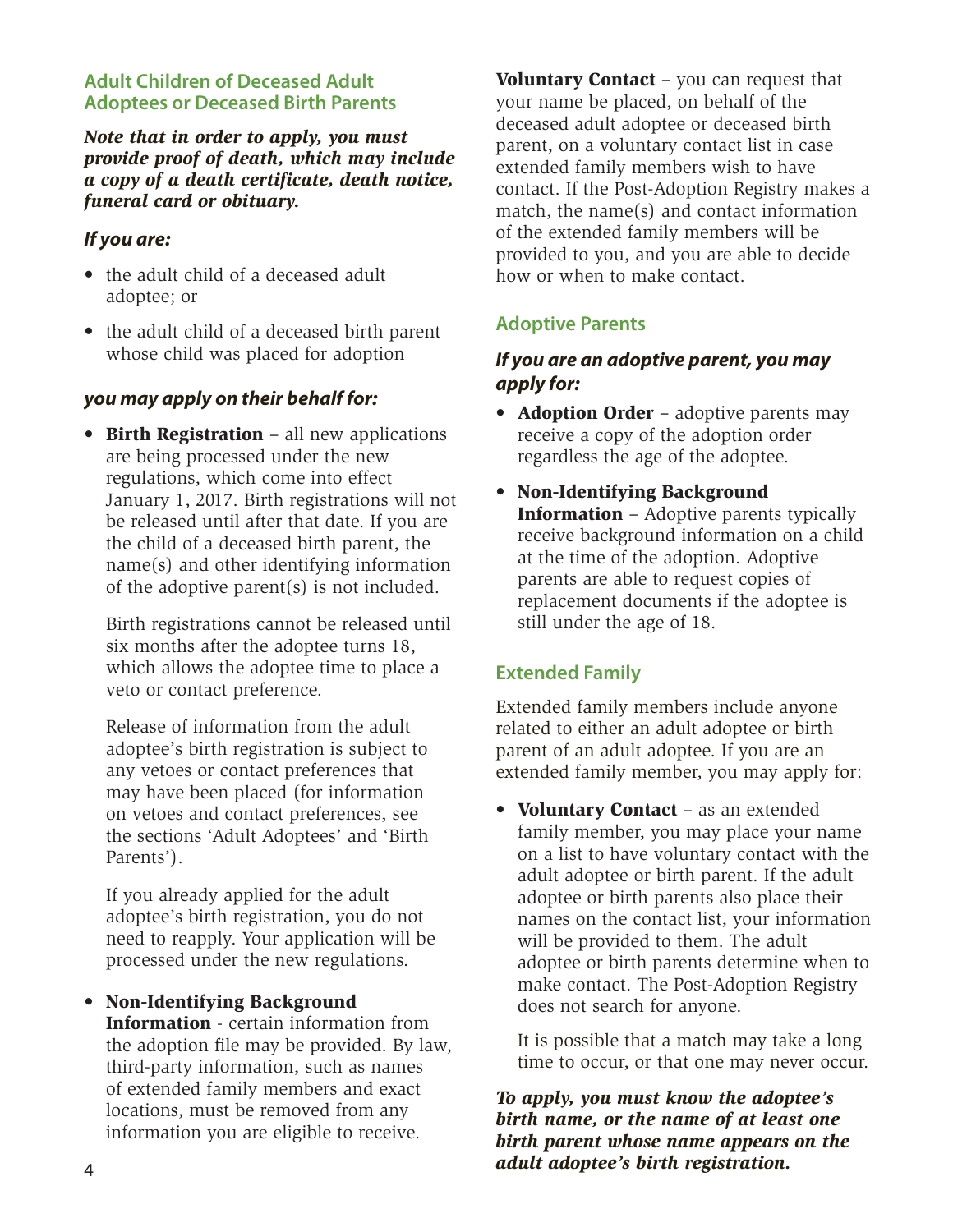#### **Adult Children of Deceased Adult Adoptees or Deceased Birth Parents**

*Note that in order to apply, you must provide proof of death, which may include a copy of a death certificate, death notice, funeral card or obituary.* 

## *If you are:*

- the adult child of a deceased adult adoptee; or
- the adult child of a deceased birth parent whose child was placed for adoption

## *you may apply on their behalf for:*

• Birth Registration - all new applications are being processed under the new regulations, which come into effect January 1, 2017. Birth registrations will not be released until after that date. If you are the child of a deceased birth parent, the name(s) and other identifying information of the adoptive parent(s) is not included.

Birth registrations cannot be released until six months after the adoptee turns 18, which allows the adoptee time to place a veto or contact preference.

Release of information from the adult adoptee's birth registration is subject to any vetoes or contact preferences that may have been placed (for information on vetoes and contact preferences, see the sections 'Adult Adoptees' and 'Birth Parents').

If you already applied for the adult adoptee's birth registration, you do not need to reapply. Your application will be processed under the new regulations.

• Non-Identifying Background Information - certain information from the adoption file may be provided. By law, third-party information, such as names of extended family members and exact locations, must be removed from any information you are eligible to receive.

Voluntary Contact - you can request that your name be placed, on behalf of the deceased adult adoptee or deceased birth parent, on a voluntary contact list in case extended family members wish to have contact. If the Post-Adoption Registry makes a match, the name(s) and contact information of the extended family members will be provided to you, and you are able to decide how or when to make contact.

# **Adoptive Parents**

# *If you are an adoptive parent, you may apply for:*

- **Adoption Order** adoptive parents may receive a copy of the adoption order regardless the age of the adoptee.
- Non-Identifying Background Information – Adoptive parents typically receive background information on a child at the time of the adoption. Adoptive parents are able to request copies of replacement documents if the adoptee is still under the age of 18.

# **Extended Family**

Extended family members include anyone related to either an adult adoptee or birth parent of an adult adoptee. If you are an extended family member, you may apply for:

• Voluntary Contact – as an extended family member, you may place your name on a list to have voluntary contact with the adult adoptee or birth parent. If the adult adoptee or birth parents also place their names on the contact list, your information will be provided to them. The adult adoptee or birth parents determine when to make contact. The Post-Adoption Registry does not search for anyone.

It is possible that a match may take a long time to occur, or that one may never occur.

*To apply, you must know the adoptee's birth name, or the name of at least one birth parent whose name appears on the adult adoptee's birth registration.*